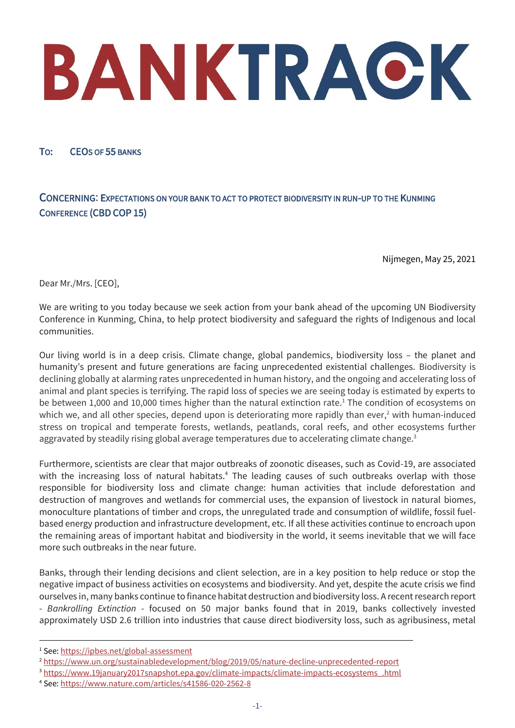TO: CEOS OF 55 BANKS

# CONCERNING: EXPECTATIONS ON YOUR BANK TO ACT TO PROTECT BIODIVERSITY IN RUN-UP TO THE KUNMING CONFERENCE (CBD COP 15)

Nijmegen, May 25, 2021

Dear Mr./Mrs. [CEO],

We are writing to you today because we seek action from your bank ahead of the upcoming UN Biodiversity Conference in Kunming, China, to help protect biodiversity and safeguard the rights of Indigenous and local communities.

Our living world is in a deep crisis. Climate change, global pandemics, biodiversity loss – the planet and humanity's present and future generations are facing unprecedented existential challenges. Biodiversity is declining globally at alarming rates unprecedented in human history, and the ongoing and accelerating loss of animal and plant species is terrifying. The rapid loss of species we are seeing today is estimated by experts to be between 1,000 and 10,000 times higher than the natural extinction rate.<sup>1</sup> The condition of ecosystems on which we, and all other species, depend upon is deteriorating more rapidly than ever,<sup>2</sup> with human-induced stress on tropical and temperate forests, wetlands, peatlands, coral reefs, and other ecosystems further aggravated by steadily rising global average temperatures due to accelerating climate change. $3$ 

Furthermore, scientists are clear that major outbreaks of zoonotic diseases, such as Covid-19, are associated with the increasing loss of natural habitats.<sup>4</sup> The leading causes of such outbreaks overlap with those responsible for biodiversity loss and climate change: human activities that include deforestation and destruction of mangroves and wetlands for commercial uses, the expansion of livestock in natural biomes, monoculture plantations of timber and crops, the unregulated trade and consumption of wildlife, fossil fuelbased energy production and infrastructure development, etc. If all these activities continue to encroach upon the remaining areas of important habitat and biodiversity in the world, it seems inevitable that we will face more such outbreaks in the near future.

Banks, through their lending decisions and client selection, are in a key position to help reduce or stop the negative impact of business activities on ecosystems and biodiversity. And yet, despite the acute crisis we find ourselves in, many banks continue to finance habitat destruction and biodiversity loss. A recent research report - *Bankrolling Extinction* - focused on 50 major banks found that in 2019, banks collectively invested approximately USD 2.6 trillion into industries that cause direct biodiversity loss, such as agribusiness, metal

<sup>1</sup> See:<https://ipbes.net/global-assessment>

<sup>2</sup> <https://www.un.org/sustainabledevelopment/blog/2019/05/nature-decline-unprecedented-report>

<sup>3</sup> [https://www.19january2017snapshot.epa.gov/climate-impacts/climate-impacts-ecosystems\\_.html](https://www.19january2017snapshot.epa.gov/climate-impacts/climate-impacts-ecosystems_.html)

<sup>4</sup> See:<https://www.nature.com/articles/s41586-020-2562-8>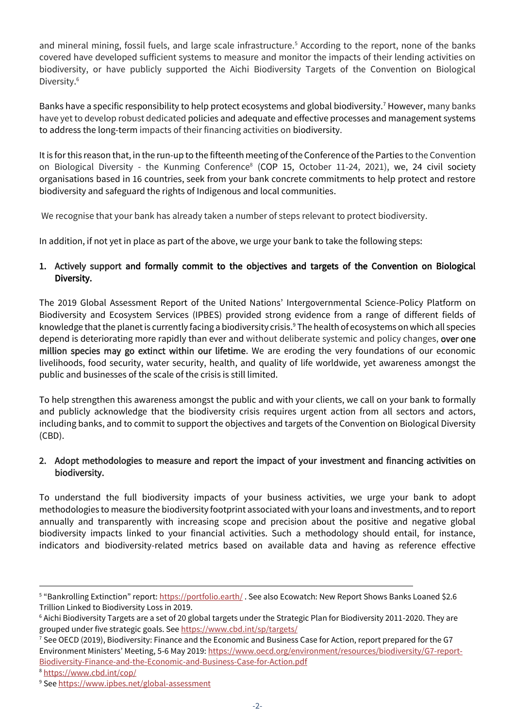and mineral mining, fossil fuels, and large scale infrastructure.<sup>5</sup> According to the report, none of the banks covered have developed sufficient systems to measure and monitor the impacts of their lending activities on biodiversity, or have publicly supported the Aichi Biodiversity Targets of the Convention on Biological Diversity.<sup>6</sup>

Banks have a specific responsibility to help protect ecosystems and global biodiversity.<sup>7</sup> However, many banks have yet to develop robust dedicated policies and adequate and effective processes and management systems to address the long-term impacts of their financing activities on biodiversity.

It is for this reason that, in the run-up to the fifteenth meeting of the Conference of the Parties to the Convention on Biological Diversity - the Kunming Conference<sup>8</sup> (COP 15, October 11-24, 2021), we, 24 civil society organisations based in 16 countries, seek from your bank concrete commitments to help protect and restore biodiversity and safeguard the rights of Indigenous and local communities.

We recognise that your bank has already taken a number of steps relevant to protect biodiversity.

In addition, if not yet in place as part of the above, we urge your bank to take the following steps:

## 1. Actively support and formally commit to the objectives and targets of the Convention on Biological Diversity.

The 2019 Global Assessment Report of the United Nations' Intergovernmental Science-Policy Platform on Biodiversity and Ecosystem Services (IPBES) provided strong evidence from a range of different fields of knowledge that the planet is currently facing a biodiversity crisis.<sup>9</sup> The health of ecosystems on which all species depend is deteriorating more rapidly than ever and without deliberate systemic and policy changes, over one million species may go extinct within our lifetime. We are eroding the very foundations of our economic livelihoods, food security, water security, health, and quality of life worldwide, yet awareness amongst the public and businesses of the scale of the crisis is still limited.

To help strengthen this awareness amongst the public and with your clients, we call on your bank to formally and publicly acknowledge that the biodiversity crisis requires urgent action from all sectors and actors, including banks, and to commit to support the objectives and targets of the Convention on Biological Diversity (CBD).

## 2. Adopt methodologies to measure and report the impact of your investment and financing activities on biodiversity.

To understand the full biodiversity impacts of your business activities, we urge your bank to adopt methodologies to measure the biodiversity footprint associated with your loans and investments, and to report annually and transparently with increasing scope and precision about the positive and negative global biodiversity impacts linked to your financial activities. Such a methodology should entail, for instance, indicators and biodiversity-related metrics based on available data and having as reference effective

<sup>&</sup>lt;sup>5</sup> "Bankrolling Extinction" report: <u><https://portfolio.earth/></u> . See also Ecowatch: New Report Shows Banks Loaned \$2.6 Trillion Linked to Biodiversity Loss in 2019.

 $6$  Aichi Biodiversity Targets are a set of 20 global targets under the Strategic Plan for Biodiversity 2011-2020. They are grouped under five strategic goals. Se[e https://www.cbd.int/sp/targets/](https://www.cbd.int/sp/targets/)

 $^7$  See OECD (2019), Biodiversity: Finance and the Economic and Business Case for Action, report prepared for the G7 Environment Ministers' Meeting, 5-6 May 2019[: https://www.oecd.org/environment/resources/biodiversity/G7-report-](https://www.oecd.org/environment/resources/biodiversity/G7-report-Biodiversity-Finance-and-the-Economic-and-Business-Case-for-Action.pdf)[Biodiversity-Finance-and-the-Economic-and-Business-Case-for-Action.pdf](https://www.oecd.org/environment/resources/biodiversity/G7-report-Biodiversity-Finance-and-the-Economic-and-Business-Case-for-Action.pdf)

<sup>8</sup> <https://www.cbd.int/cop/>

<sup>&</sup>lt;sup>9</sup> See <https://www.ipbes.net/global-assessment>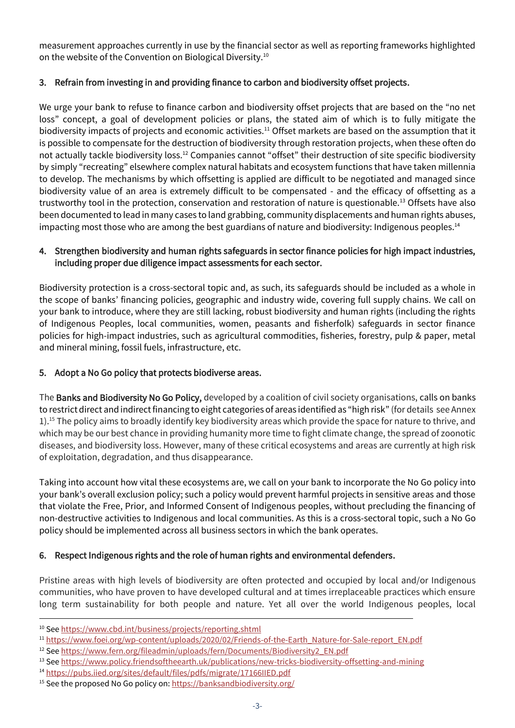measurement approaches currently in use by the financial sector as well as reporting frameworks highlighted on the website of the Convention on Biological Diversity.<sup>10</sup>

# 3. Refrain from investing in and providing finance to carbon and biodiversity offset projects.

We urge your bank to refuse to finance carbon and biodiversity offset projects that are based on the "no net loss" concept, a goal of development policies or plans, the stated aim of which is to fully mitigate the biodiversity impacts of projects and economic activities.<sup>11</sup> Offset markets are based on the assumption that it is possible to compensate for the destruction of biodiversity through restoration projects, when these often do not actually tackle biodiversity loss.<sup>12</sup> Companies cannot "offset" their destruction of site specific biodiversity by simply "recreating" elsewhere complex natural habitats and ecosystem functions that have taken millennia to develop. The mechanisms by which offsetting is applied are difficult to be negotiated and managed since biodiversity value of an area is extremely difficult to be compensated - and the efficacy of offsetting as a trustworthy tool in the protection, conservation and restoration of nature is questionable.<sup>13</sup> Offsets have also been documented to lead in many cases to land grabbing, community displacements and human rights abuses, impacting most those who are among the best guardians of nature and biodiversity: Indigenous peoples.<sup>14</sup>

## 4. Strengthen biodiversity and human rights safeguards in sector finance policies for high impact industries, including proper due diligence impact assessments for each sector.

Biodiversity protection is a cross-sectoral topic and, as such, its safeguards should be included as a whole in the scope of banks' financing policies, geographic and industry wide, covering full supply chains. We call on your bank to introduce, where they are still lacking, robust biodiversity and human rights (including the rights of Indigenous Peoples, local communities, women, peasants and fisherfolk) safeguards in sector finance policies for high-impact industries, such as agricultural commodities, fisheries, forestry, pulp & paper, metal and mineral mining, fossil fuels, infrastructure, etc.

## 5. Adopt a No Go policy that protects biodiverse areas.

The Banks and Biodiversity No Go Policy, developed by a coalition of civil society organisations, calls on banks to restrict direct and indirect financing to eight categories of areas identified as "high risk" (for details see Annex 1).<sup>15</sup> The policy aims to broadly identify key biodiversity areas which provide the space for nature to thrive, and which may be our best chance in providing humanity more time to fight climate change, the spread of zoonotic diseases, and biodiversity loss. However, many of these critical ecosystems and areas are currently at high risk of exploitation, degradation, and thus disappearance.

Taking into account how vital these ecosystems are, we call on your bank to incorporate the No Go policy into your bank's overall exclusion policy; such a policy would prevent harmful projects in sensitive areas and those that violate the Free, Prior, and Informed Consent of Indigenous peoples, without precluding the financing of non-destructive activities to Indigenous and local communities. As this is a cross-sectoral topic, such a No Go policy should be implemented across all business sectors in which the bank operates.

# 6. Respect Indigenous rights and the role of human rights and environmental defenders.

Pristine areas with high levels of biodiversity are often protected and occupied by local and/or Indigenous communities, who have proven to have developed cultural and at times irreplaceable practices which ensure long term sustainability for both people and nature. Yet all over the world Indigenous peoples, local

<sup>11</sup> [https://www.foei.org/wp-content/uploads/2020/02/Friends-of-the-Earth\\_Nature-for-Sale-report\\_EN.pdf](https://www.foei.org/wp-content/uploads/2020/02/Friends-of-the-Earth_Nature-for-Sale-report_EN.pdf)

<sup>10</sup> Se[e https://www.cbd.int/business/projects/reporting.shtml](https://www.cbd.int/business/projects/reporting.shtml)

<sup>&</sup>lt;sup>12</sup> Se[e https://www.fern.org/fileadmin/uploads/fern/Documents/Biodiversity2\\_EN.pdf](https://www.fern.org/fileadmin/uploads/fern/Documents/Biodiversity2_EN.pdf)

<sup>&</sup>lt;sup>13</sup> Se[e https://www.policy.friendsoftheearth.uk/publications/new-tricks-biodiversity-offsetting-and-mining](https://www.policy.friendsoftheearth.uk/publications/new-tricks-biodiversity-offsetting-and-mining)

<sup>14</sup> <https://pubs.iied.org/sites/default/files/pdfs/migrate/17166IIED.pdf>

<sup>&</sup>lt;sup>15</sup> See the proposed No Go policy on[: https://banksandbiodiversity.org/](https://banksandbiodiversity.org/)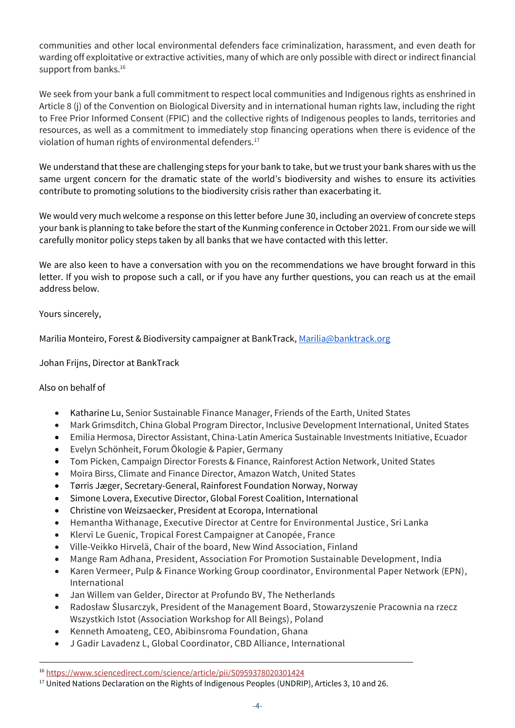communities and other local environmental defenders face criminalization, harassment, and even death for warding off exploitative or extractive activities, many of which are only possible with direct or indirect financial support from banks.<sup>16</sup>

We seek from your bank a full commitment to respect local communities and Indigenous rights as enshrined in Article 8 (j) of the Convention on Biological Diversity and in international human rights law, including the right to Free Prior Informed Consent (FPIC) and the collective rights of Indigenous peoples to lands, territories and resources, as well as a commitment to immediately stop financing operations when there is evidence of the violation of human rights of environmental defenders.<sup>17</sup>

We understand that these are challenging steps for your bank to take, but we trust your bank shares with us the same urgent concern for the dramatic state of the world's biodiversity and wishes to ensure its activities contribute to promoting solutions to the biodiversity crisis rather than exacerbating it.

We would very much welcome a response on this letter before June 30, including an overview of concrete steps your bank is planning to take before the start of the Kunming conference in October 2021. From our side we will carefully monitor policy steps taken by all banks that we have contacted with this letter.

We are also keen to have a conversation with you on the recommendations we have brought forward in this letter. If you wish to propose such a call, or if you have any further questions, you can reach us at the email address below.

Yours sincerely,

Marília Monteiro, Forest & Biodiversity campaigner at BankTrack[, Marilia@banktrack.org](mailto:Marilia@banktrack.org)

Johan Frijns, Director at BankTrack

### Also on behalf of

- Katharine Lu, Senior Sustainable Finance Manager, Friends of the Earth, United States
- Mark Grimsditch, China Global Program Director, Inclusive Development International, United States
- Emilia Hermosa, Director Assistant, China-Latin America Sustainable Investments Initiative, Ecuador
- Evelyn Schönheit, Forum Ökologie & Papier, Germany
- Tom Picken, Campaign Director Forests & Finance, Rainforest Action Network, United States
- Moira Birss, Climate and Finance Director, Amazon Watch, United States
- Tørris Jæger, Secretary-General, Rainforest Foundation Norway, Norway
- Simone Lovera, Executive Director, Global Forest Coalition, International
- Christine von Weizsaecker, President at Ecoropa, International
- Hemantha Withanage, Executive Director at Centre for Environmental Justice, Sri Lanka
- Klervi Le Guenic, Tropical Forest Campaigner at Canopée, France
- Ville-Veikko Hirvelä, Chair of the board, New Wind Association, Finland
- Mange Ram Adhana, President, Association For Promotion Sustainable Development, India
- Karen Vermeer, Pulp & Finance Working Group coordinator, Environmental Paper Network (EPN), International
- Jan Willem van Gelder, Director at Profundo BV, The Netherlands
- Radosław Ślusarczyk, President of the Management Board, Stowarzyszenie Pracownia na rzecz Wszystkich Istot (Association Workshop for All Beings), Poland
- Kenneth Amoateng, CEO, Abibinsroma Foundation, Ghana
- J Gadir Lavadenz L, Global Coordinator, CBD Alliance, International

<sup>16</sup> <https://www.sciencedirect.com/science/article/pii/S0959378020301424>

<sup>&</sup>lt;sup>17</sup> United Nations Declaration on the Rights of Indigenous Peoples (UNDRIP), Articles 3, 10 and 26.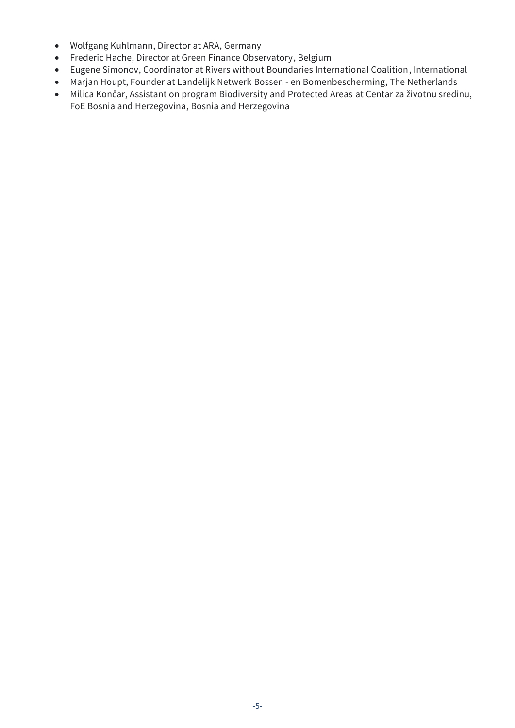- Wolfgang Kuhlmann, Director at ARA, Germany
- Frederic Hache, Director at Green Finance Observatory, Belgium
- Eugene Simonov, Coordinator at Rivers without Boundaries International Coalition, International
- Marjan Houpt, Founder at Landelijk Netwerk Bossen en Bomenbescherming, The Netherlands
- Milica Končar, Assistant on program Biodiversity and Protected Areas at Centar za životnu sredinu, FoE Bosnia and Herzegovina, Bosnia and Herzegovina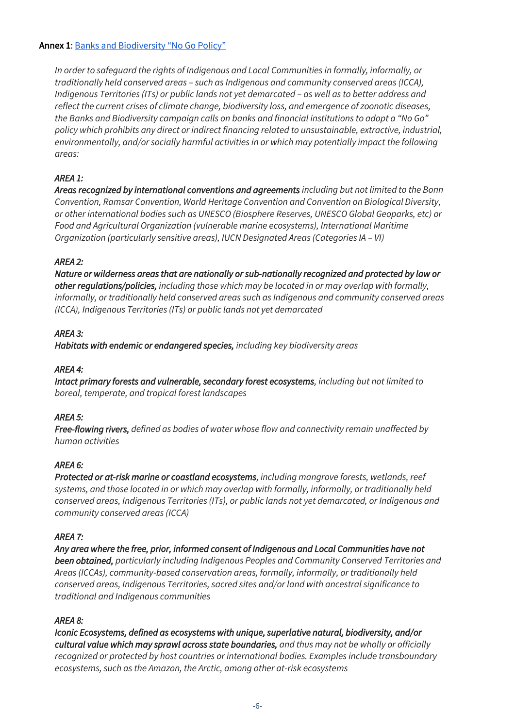### Annex 1: [Banks and Biodiversity "No Go Policy"](https://banksandbiodiversity.org/)

*In order to safeguard the rights of Indigenous and Local Communities in formally, informally, or traditionally held conserved areas – such as Indigenous and community conserved areas (ICCA), Indigenous Territories (ITs) or public lands not yet demarcated – as well as to better address and reflect the current crises of climate change, biodiversity loss, and emergence of zoonotic diseases, the Banks and Biodiversity campaign calls on banks and financial institutions to adopt a "No Go" policy which prohibits any direct or indirect financing related to unsustainable, extractive, industrial, environmentally, and/or socially harmful activities in or which may potentially impact the following areas:*

## *AREA 1:*

*Areas recognized by international conventions and agreements including but not limited to the Bonn Convention, Ramsar Convention, World Heritage Convention and Convention on Biological Diversity, or other international bodies such as UNESCO (Biosphere Reserves, UNESCO Global Geoparks, etc) or Food and Agricultural Organization (vulnerable marine ecosystems), International Maritime Organization (particularly sensitive areas), IUCN Designated Areas (Categories IA - VI)* 

## *AREA 2:*

*Nature or wilderness areas that are nationally or sub-nationally recognized and protected by law or other regulations/policies, including those which may be located in or may overlap with formally, informally, or traditionally held conserved areas such as Indigenous and community conserved areas (ICCA), Indigenous Territories (ITs) or public lands not yet demarcated*

## *AREA 3:*

*Habitats with endemic or endangered species, including key biodiversity areas*

## *AREA 4:*

*Intact primary forests and vulnerable, secondary forest ecosystems, including but not limited to boreal, temperate, and tropical forest landscapes*

## *AREA 5:*

*Free-flowing rivers, defined as bodies of water whose flow and connectivity remain unaffected by human activities*

## *AREA 6:*

*Protected or at-risk marine or coastland ecosystems, including mangrove forests, wetlands, reef systems, and those located in or which may overlap with formally, informally, or traditionally held conserved areas, Indigenous Territories (ITs), or public lands not yet demarcated, or Indigenous and community conserved areas (ICCA)*

## *AREA 7:*

*Any area where the free, prior, informed consent of Indigenous and Local Communities have not been obtained, particularly including Indigenous Peoples and Community Conserved Territories and Areas (ICCAs), community-based conservation areas, formally, informally, or traditionally held conserved areas, Indigenous Territories, sacred sites and/or land with ancestral significance to traditional and Indigenous communities*

## *AREA 8:*

*Iconic Ecosystems, defined as ecosystems with unique, superlative natural, biodiversity, and/or cultural value which may sprawl across state boundaries, and thus may not be wholly or officially recognized or protected by host countries or international bodies. Examples include transboundary ecosystems, such as the Amazon, the Arctic, among other at-risk ecosystems*